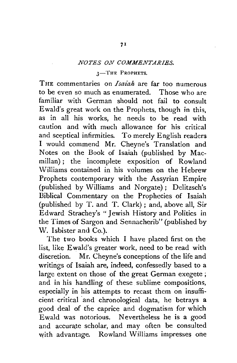## *NOTES ON COMMENTARIES.*

## 3-THE PROPHETS.

THE commentaries on *Isaiah* are far too numerous to be even so much as enumerated. Those who are familiar with German should not fail to consult Ewald's great work on the Prophets, though in this, as in all his works, he needs to be read with caution and with much allowance for his critical and sceptical infirmities. To merely English readers I would commend Mr. Cheyne's Translation and Notes on the Book of Isaiah (published by Macmillan) ; the incomplete exposition of Rowland Williams contained in his volumes on the Hebrew Prophets contemporary with the Assyrian Empire (published by Williams and Norgate); Delitzsch's Biblical Commentary on the Prophecies of Isaiah (published by T. and T. Clark) ; and, above all, Sir Edward Strachey's "Jewish History and Politics in the Times of Sargon and Sennacherib" (published by W. Isbister and Co.).

The two books which I have placed first on the list, like Ewald's greater work, need to be read with discretion. Mr. Cheyne's conceptions of the life and writings of Isaiah are, indeed, confessedly based to a large extent on those of the great German exegete ; and in his handling of these sublime compositions, especially in his attempts to recast them on insufficient critical and chronological data, he betrays a good deal of the caprice and dogmatism for which Ewald was notorious. Nevertheless he is a good and accurate scholar, and may often be consulted with advantage. Rowland Williams impresses one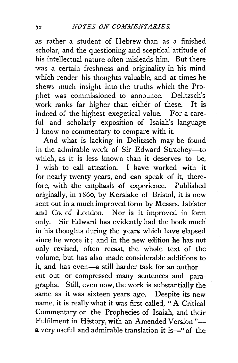as rather a student of Hebrew than as a finished scholar, and the questioning and sceptical attitude of his intellectual nature often misleads him. But there was a certain freshness and originality in his mind which render his thoughts valuable, and at times he shews much insight into the truths which the Prophet was commissioned to announce. Delitzsch's work ranks far higher than either of these. It is indeed of the highest exegetical value. For a careful and scholarly exposition of Isaiah's language I know no commentary to compare with it.

And what is lacking in Delitzsch may be found in the admirable work of Sir Edward Strachey-to which, as it is less known than it deserves to be, I wish to call attention. I have worked with it for nearly twenty years, and can speak of it, therefore, with the emphasis of experience. Published originally, in 1 86o, by Kerslake of Bristol, it is now sent out in a much improved form by Messrs. Isbister and Co. of London. Nor is it improved in form only. Sir Edward has evidently had the book much in his thoughts during the years which have elapsed since he wrote it; and in the new edition he has not only revised, often recast, the whole text of the volume, but has also made considerable additions to it, and has even-a still harder task for an authorcut out or compressed many sentences and paragraphs. Still, even now, the work is substantially the same as it was sixteen years ago. Despite its new name, it is really what it was first called, "A Critical Commentary on the Prophecies of Isaiah, and their Fulfilment in History, with an Amended Version"a very useful and admirable translation it is—" of the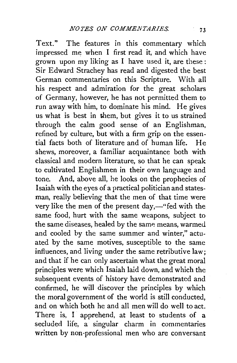Text." The features in this commentary which impressed me when I first read it, and which have grown upon my liking as I have used it, are these : Sir Edward Strachey has read and digested the best German commentaries on this Scripture. With all his respect and admiration for the great scholars of Germany, however, he has not permitted them to run away with him, to dominate his mind. He gives us what is best in them, but gives it to us strained through the calm good sense of an Englishman, refined by culture, but with a firm grip on the essential facts both of literature and of human life. He shews, moreover, a familiar acquaintance both with classical and modern literature, so that he can speak to cultivated Englishmen in their own language and tone. And, above all, he looks on the prophecies of Isaiah with the eyes of a practical politician and statesman, really believing that the men of that time were very like the men of the present  $day,$ —"fed with the same food, hurt with the same weapons, subject to the same diseases, healed by the same means, warmed and cooled by the same summer and winter," actuated by the same motives, susceptible to the same influences, and living under the same retributive law; and that if he can only ascertain what the great moral principles were which Isaiah laid down, and which the subsequent events of history have demonstrated and confirmed, he will discover the principles by which the moral government of the world is still conducted, and on which both he and all men will do well to act. There is, I apprehend, at least to students of a secluded life, a singular charm in commentaries written by non-professional men who are conversant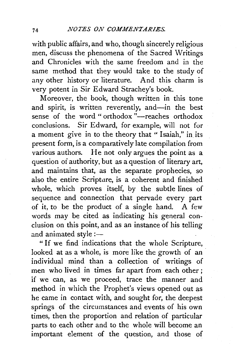with public affairs, and who, though sincerely religious men, discuss the phenomena of the Sacred Writings and Chronicles with the same freedom and in the same method that they would take to the study of any other history or literature. And this charm is very potent in Sir Edward Strachey's book.

Moreover, the book, though written in this tone and spirit, is written reverently, and—in the best sense of the word " orthodox  $\overline{a}$ -reaches orthodox conclusions. Sir Edward, for example, will not for a moment give in to the theory that "Isaiah," in its present form, is a comparatively late compilation from various authors. He not only argues the point as a question of authority, but as a question of literary art, and maintains that, as the separate prophecies, so also the entire Scripture, is a coherent and finished whole, which proves itself, by the subtle lines of sequence and connection that pervade every part of it, to be the product of a single hand. A few words may be cited as indicating his general conclusion on this point, and as an instance of his telling and animated style: $-$ 

" If we find indications that the whole Scripture, looked at as a whole, is more like the growth of an individual mind than a collection of writings of men who lived in times far apart from each other ; if we can, as we proceed, trace the manner and method in which the Prophet's views opened out as he came in contact with, and sought for, the deepest springs of the circumstances and events of his own times, then the proportion and relation of particular parts to each other and to the whole will become an important element of the question, and those of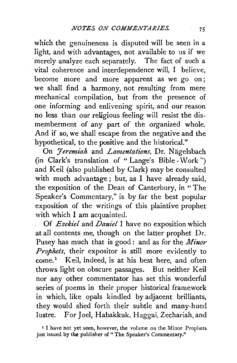which the genuineness is disputed will be seen in a light, and with advantages, not available to us if we merely analyze each separately. The fact of such a vital coherence and interdependence will, I believe, become more and more apparent as we go on; we shall find a harmony, not resulting from mere mechanical compilation, but from the presence of one informing and enlivening spirit, and our reason no less than our religious feeling will resist the dismemberment of any part of the organized whole. And if so, we shall escape from the negative and the hypothetical, to the positive and the historical."

On *Jeremiah* and *Lamentations*, Dr. Nägelsbach (in Clark's translation of "Lange's Bible- Work") and Keil (also published by Clark) may be consulted with much advantage; but, as I have already said, the exposition of the Dean of Canterbury, in " The Speaker's Commentary," is by far the best popular exposition of the writings of this plaintive prophet with which I am acquainted.

\_ Of *Ezekiel* and *Daniel* I have no exposition which at all contents me, though on the latter prophet Dr. Pusey has much that is good: and as for the *Minor Prophets,* their expositor is still more evidently to come.<sup>1</sup> Keil, indeed, is at his best here, and often throws light on obscure passages. But neither Keil nor any other commentator has set this wonderful series of poems in their proper historical framework in which, like opals kindled by adjacent brilliants, they would shed forth their subtle and many-hued lustre. For Joel, Habakkuk, Haggai, Zechariah, and

<sup>&</sup>lt;sup>1</sup> I have not yet seen, however, the volume on the Minor Prophets just issued by the publisher of "The Speaker's Commentary."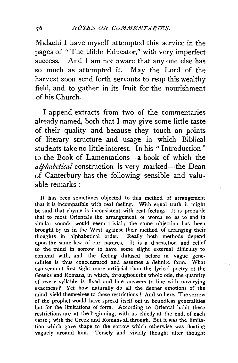Malachi I have myself attempted this service in the pages of " The Bible Educator," with very imperfect success. And I am not aware that any one else has so much as attempted it. May the Lord of the harvest soon send forth servants to reap this wealthy field, and to gather in its fruit for the nourishment of his Church.

I append extracts from two of the commentaries already named, both that I may give some little taste of their quality and because they touch on points of literary structure and usage in which Biblical students take no little interest. In his " Introduction" to the Book of Lamentations--a book of which the *alphabetical* construction is very marked-the Dean of Canterbury has the following sensible and valuable remarks  $=$ 

It has been sometimes objected to this method of arrangement that it is incompatible with real feeling. With equal truth it might be said that rhyme is inconsistent with real feeling. It is probable that to most Orientals the arrangement of words so as to end in similar sounds would seem trivial; the same objection has been brought by us in the West against their method of arranging their thoughts in alphabetical order. Really both methods depend upon the same law of our natures. It is a distraction and relief . to the mind in sorrow to have some slight external difficulty to contend with, and the feeling diffused before in vague generalities is thus concentrated and assumes a definite form. What can seem at first sight more artificial than the lyrical poetry of the Greeks and Romans, in which, throughout the whole ode, the quantity of every syllable is fixed and line answers to line with unvarying exactness ? Yet how naturally do all the deeper emotions of the mind yield themselves to these restrictions ! And so here. The sorrow of the prophet would have spread itself out in boundless generalities but for the limitations of form. According to Oriental habit these restrictions are at the beginning, with us chiefly at the end, of each verse ; with the Greek and Romans all through. But it was the limitation which gave shape to the sorrow which otherwise was floating vaguely around him. Tersely and vividly thought after thought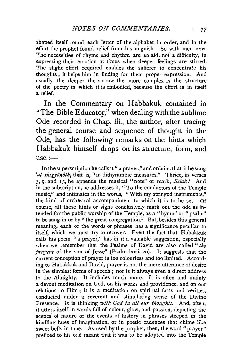shaped itself round each letter of the alphabet in order, and in the effort the prophet found relief from his anguish. So with men now. The necessities of rhyme and rhythm are an aid, not a difficulty, in expressing their emotion at times when deeper feelings are stirred. The slight effort required enables the sufferer to concentrate his thoughts ; it helps him in finding for them proper expression. And usually the deeper the sorrow the more complex is the structure of the poetry in which it is embodied, because the effort is in itself a relief.

In the Commentary on Habbakuk contained in "The Bible Educator," when dealing with the sublime Ode recorded in Chap. iii., the author, after tracing the general course and sequence of thought in the Ode, has the following remarks on the hints which Habbakuk himself drops on its structure, form, and  $use: -$ 

In the superscription he calls it " a prayer," and ordains that it be sung 'al shigyônôth, that is, "in dithyrambic measures." Thrice, in verses 3, 9, and 13, he appends the musical ''note" or mark, *Selah!* And in the subscription, he addresses it, "To the conductors of the Temple music," and intimates in the words, "With my stringed instruments," the kind of orchestral accompaniment to which it is to be set. Of course, all these hints or signs conclusively mark out the ode as intended for the public worship of the Temple, as a "hymn" or "psalm" to be sung in or by "the great congregation." But, besides this general meaning, each of the words or phrases has a significance peculiar to itself, which we must try to recover. Even the fact that Habakkuk calls his poem "a prayer," has in it a valuable suggestion, especially when we remember that the Psalms of David are also called "*the prayers* of the son of Jesse" (Psalm lxxii. 20). It suggests that the current conception of prayer is too colourless and too limited. According to Habakkuk and David, prayer is not the mere utterance of desire in the simplest forms of speech ; nor is it always even a direct address to the Almighty. It includes much more. It is often and mainly a devout meditation on God, on his works and providence, and on our relations to Him; it is a meditation on spiritual facts and verities, conducted under a reverent and stimulating sense of the Divine Presence. It is thinking *with God in all our thoughts*. And, often, it utters itself in words full of colour, glow, and passion, depicting the scenes of nature or the events of history in phrases steeped in the kindling hues of imagination, or in poetic cadences that chime like sweet bells in tune. As used by the prophet, then, the word "prayer" prefixed to his ode meant that it was to be adopted into the Temple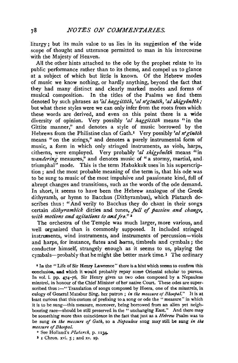liturgy; but its main value to us lies in its suggestion of the wide scope of thought and utterance permitted to man in his intercourse with the Majesty of Heaven.

All the other hints attached to the ode by the prophet relate to its public performance rather than to its theme, and compel us to glance at a subject of which but little is known. Of the Hebrew modes of music we know nothing, or hardly anything, beyond the fact that they had many distinct and clearly marked modes and forms of musical composition. In the titles of the Psalms we find them denoted by such phrases as 'al haggittith, 'al n'ginoth, 'al shigyonoth; but what these styles were we can only infer from the roots from which these words are derived, and even on this point there is a wide diversity of opinion. Very possibly *'al haggittith* means "in the Gittite manner," and denotes a style of music borrowed by the Hebrews from the Philistine clan of Gath.<sup>1</sup> Very possibly *'al n' ginôth* means " on the strings," and denotes a purely instrumental form of music, a form in which only stringed instruments, as viols, harps, citherns, were employed. Very probably *'a! shigyonoth* means "in *wandering* measures," and denotes music of "a stormy, martial, and triumphal'' mode. This is the term Habakkuk uses'in his superscription ; and the most probable meaning of the term is, that his ode was to be sung to music of the most impulsive and passionate kind, full of abrupt changes and transitions, such as the words of the ode demand. In short, it seems to have been the Hebrew analogue of the Greek dithyramb, or hymn to Bacchus (Dithyrambus), which Plutarch describes thus: "And verily to Bacchus they do chant in their songs certain *dithyrambick* ditties and tunes, *full of passion and change*, *with motions and agitations to and fro.*"<sup>2</sup>

The orchestra of the Temple was much larger, more various, and well organized than is commonly supposed. It included stringed instruments, wind instruments, and instruments of percussion-viols and harps, for instance, flutes and horns, timbrels and cymbals; the conductor himself, strangely enough as it seems to us, playing the cymbals—probably that he might the better mark time.  $3$  The ordinary

<sup>*t*</sup> In the "Life of Sir Henry Lawrence" there is a hint which seems to confirm this oonclusion. aad which it would probably repay some Oriental scholar to pursue. In vol. i. pp. 474-76, Sir Henry gives us two odes composed by a Nepaulese minstrel, in honour of the Chief Minister of her native Court. These odes are superscribed thus: $-$ " Translation of songs composed by Heera, one of the minstrels, in eulogy of General Matabur Sing, her patron ; *in the measure of Bhoopal."* It is at least curious that this custom of prefixing to a song or ode the " measure" in which it is to be sung-this measure, moreover, being borrowed from an alien vet neighbouring race-should be still preserved in the "unchanging East." And there may be something more than coincidence in the fact that just as a *Hebrew* Psalm was to be sung in the measure of Gath, so a Nepaulese song may still be sung in the  $measure$  *of Bhoobal.* 

• See Holland's *Plutarch,* p. IIJ4.

 $J I$  Chron. xvi.  $5$ ; and xv. 19.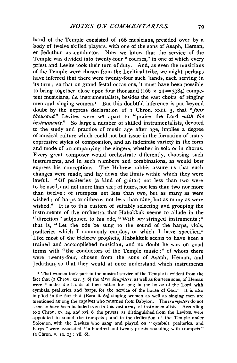band of the Temple consisted of 166 musicians, presided over by a body of twelve skilled players, with one of the sons of Asaph, Heman, or Jeduthun as conductor. Now we know that the service of the Temple was divided into twenty-four "courses," in one of which every priest and Levite took their turn of duty. And, as even the musicians of the Temple were chosen from the Levitical tribe, we might perhaps have inferred that there were twenty-four such bands, each serving in its turn ; so that on grand festal occasions, it must have been possible to bring together close upon four thousand (166  $\times$  24 = 3084) competent musicians, *i.e.* instrumentalists, besides the vast choirs of singing men and singing women.<sup>1</sup> But this doubtful inference is put beyond doubt by the express declaration of 1 Chron. xxiii. *5,* that *"four thousand*" Levites were set apart to "praise the Lord with the *instruments.*" So large a number of skilled instrumentalists, devoted to the study and practice of music age after age, implies a degree of musical culture which could not but issue in the formation of many expressive styles of composition, and an indefinite variety in the form and mode of accompanying the singers, whether in solo or in chorus. Every great composer would orchestrate differently, choosing such instruments, and in such numbers and combinations, as would best express his conceptions. The Hebrew rabbis assure us that such changes were made, and lay down the limits within which they were lawful. "Of psalteries (a kind of guitar) not less than two were to be used, and not more than six ; of flutes, not less than two nor more than twelve; ot trumpets not less than two, but as many as were wished : of harps or citherns not less than nine, but as many as were wished." It is to this custom of suitably selecting and grouping the instruments of the orchestra, that Habakkuk seems to allude in the " direction" subjoined to his ode, "With  $my$  stringed instruments ;" that is, " Let the ode be sung to the sound of the harps, viols, psalteries which I commonly employ, or which I have specified." Like most of the Hebrew prophets, Habakkuk seems to have been a trained and accomplished musician, and no doubt he was on good terms with "the conductors of the Temple music ; " of whom there were twenty-four, chosen from the sons of Asaph, Heman, and Jeduthun, so that they would at once understand which instruments

' That women took part in the musical service of the Temple is evident from the fact that (I Chron, xxv. 5, 6) the *three daughters*, as well as fourteen sons, of Heman were " under the hands of their father for song in the house of the Lord, with cymbals, psalteries, and harps, for the service of the house of God." It is also implied in the fact that (Ezra ii. 65) singing women as well as singing men are mentioned among the captives who returned from Babylon. The *trumpeters* do not seem to have been included even in this vast array of instrumentalists. According to I Chron. xv. 24, and xvi. 6, the priests, as distinguished from the Levites, were appointed to sound the trumpets ; and in the dedication of the Temple under Solomon, with the Levites who sang and played on " cymbals, psalteries, and harps " were associated " a hundred and twenty priests sounding with trumpets" (2 Chron. v. 12, 13 ; vii: 6).